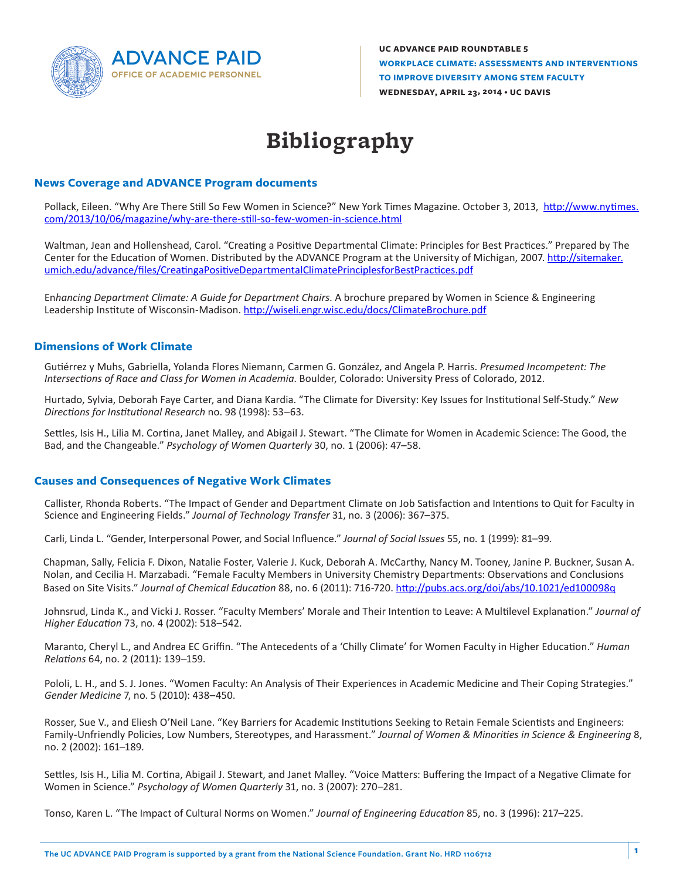

**UC ADVANCE PAID ROUNDTABLE 5 WORKPLACE CLIMATE: ASSESSMENTS AND INTERVENTIONS TO IMPROVE DIVERSITY AMONG STEM FACULTY WEDNESDAY, APRIL 23, 2014 • UC DAVIS**

# **Bibliography**

## **News Coverage and ADVANCE Program documents**

Pollack, Eileen. "Why Are There Still So Few Women in Science?" New York Times Magazine. October 3, 2013, http://www.nytimes. com/2013/10/06/magazine/why-are-there-still-so-few-women-in-science.html

Waltman, Jean and Hollenshead, Carol. "Creating a Positive Departmental Climate: Principles for Best Practices." Prepared by The Center for the Education of Women. Distributed by the ADVANCE Program at the University of Michigan, 2007. http://sitemaker. umich.edu/advance/files/CreatingaPositiveDepartmentalClimatePrinciplesforBestPractices.pdf

En*hancing Department Climate: A Guide for Department Chairs*. A brochure prepared by Women in Science & Engineering Leadership Institute of Wisconsin-Madison. http://wiseli.engr.wisc.edu/docs/ClimateBrochure.pdf

### **Dimensions of Work Climate**

Gutiérrez y Muhs, Gabriella, Yolanda Flores Niemann, Carmen G. González, and Angela P. Harris. *Presumed Incompetent: The Intersections of Race and Class for Women in Academia*. Boulder, Colorado: University Press of Colorado, 2012.

Hurtado, Sylvia, Deborah Faye Carter, and Diana Kardia. "The Climate for Diversity: Key Issues for Institutional Self-Study." *New Directions for Institutional Research* no. 98 (1998): 53–63.

Settles, Isis H., Lilia M. Cortina, Janet Malley, and Abigail J. Stewart. "The Climate for Women in Academic Science: The Good, the Bad, and the Changeable." *Psychology of Women Quarterly* 30, no. 1 (2006): 47–58.

#### **Causes and Consequences of Negative Work Climates**

Callister, Rhonda Roberts. "The Impact of Gender and Department Climate on Job Satisfaction and Intentions to Quit for Faculty in Science and Engineering Fields." *Journal of Technology Transfer* 31, no. 3 (2006): 367–375.

Carli, Linda L. "Gender, Interpersonal Power, and Social Influence." *Journal of Social Issues* 55, no. 1 (1999): 81–99.

Chapman, Sally, Felicia F. Dixon, Natalie Foster, Valerie J. Kuck, Deborah A. McCarthy, Nancy M. Tooney, Janine P. Buckner, Susan A. Nolan, and Cecilia H. Marzabadi. "Female Faculty Members in University Chemistry Departments: Observations and Conclusions Based on Site Visits." *Journal of Chemical Education* 88, no. 6 (2011): 716-720. http://pubs.acs.org/doi/abs/10.1021/ed100098q

Johnsrud, Linda K., and Vicki J. Rosser. "Faculty Members' Morale and Their Intention to Leave: A Multilevel Explanation." *Journal of Higher Education* 73, no. 4 (2002): 518–542.

Maranto, Cheryl L., and Andrea EC Griffin. "The Antecedents of a 'Chilly Climate' for Women Faculty in Higher Education." *Human Relations* 64, no. 2 (2011): 139–159.

Pololi, L. H., and S. J. Jones. "Women Faculty: An Analysis of Their Experiences in Academic Medicine and Their Coping Strategies." *Gender Medicine* 7, no. 5 (2010): 438–450.

Rosser, Sue V., and Eliesh O'Neil Lane. "Key Barriers for Academic Institutions Seeking to Retain Female Scientists and Engineers: Family-Unfriendly Policies, Low Numbers, Stereotypes, and Harassment." *Journal of Women & Minorities in Science & Engineering* 8, no. 2 (2002): 161–189.

Settles, Isis H., Lilia M. Cortina, Abigail J. Stewart, and Janet Malley. "Voice Matters: Buffering the Impact of a Negative Climate for Women in Science." *Psychology of Women Quarterly* 31, no. 3 (2007): 270–281.

Tonso, Karen L. "The Impact of Cultural Norms on Women." *Journal of Engineering Education* 85, no. 3 (1996): 217–225.